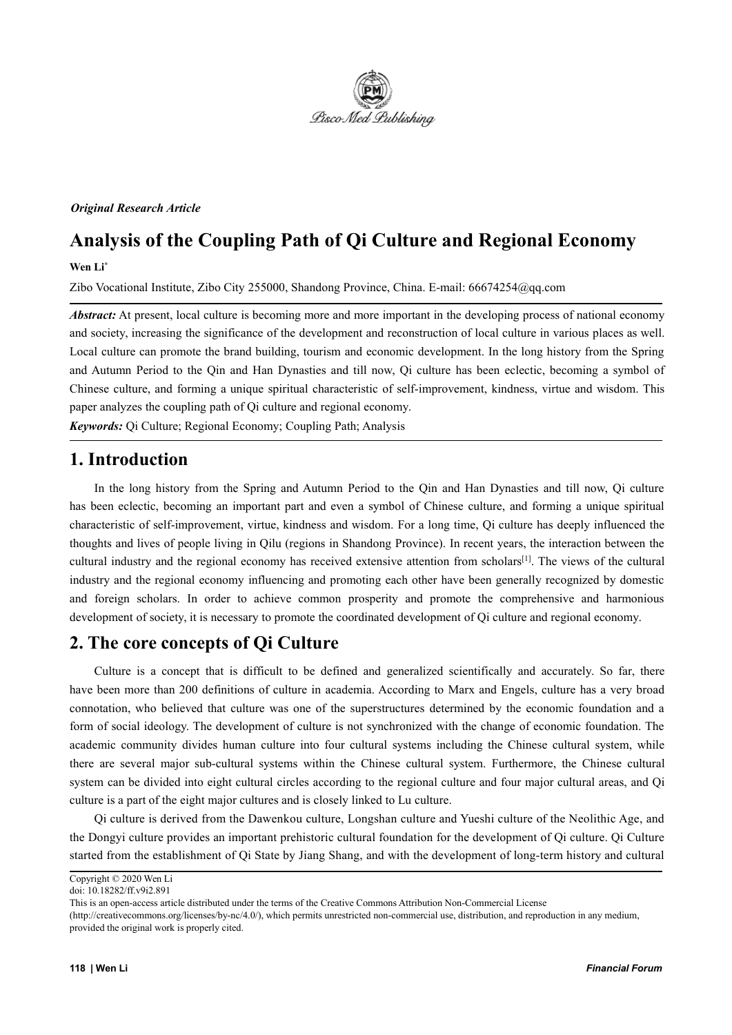

*Original Research Article*

# **Analysis of the Coupling Path of Qi Culture and Regional Economy**

**Wen Li\***

Zibo Vocational Institute, Zibo City 255000, Shandong Province, China. E-mail: 66674254@qq.com

*Abstract:* At present, local culture is becoming more and more important in the developing process of national economy and society, increasing the significance of the development and reconstruction of local culture in various places as well. Local culture can promote the brand building, tourism and economic development. In the long history from the Spring and Autumn Period to the Qin and Han Dynasties and till now, Qi culture has been eclectic, becoming a symbol of Chinese culture, and forming a unique spiritual characteristic of self-improvement, kindness, virtue and wisdom. This paper analyzes the coupling path of Qi culture and regional economy.

*Keywords:* Qi Culture; Regional Economy; Coupling Path; Analysis

# **1. Introduction**

In the long history from the Spring and Autumn Period to the Qin and Han Dynasties and till now, Qi culture has been eclectic, becoming an important part and even a symbol of Chinese culture, and forming a unique spiritual characteristic of self-improvement, virtue, kindness and wisdom. For a long time, Qi culture has deeply influenced the thoughts and lives of people living in Qilu (regions in Shandong Province). In recent years, the interaction between the cultural industry and the regional economy has received extensive attention from scholars [1]. The views of the cultural industry and the regional economy influencing and promoting each other have been generally recognized by domestic and foreign scholars. In order to achieve common prosperity and promote the comprehensive and harmonious development of society, it is necessary to promote the coordinated development of Qi culture and regional economy.

# **2.** The core concepts of Qi Culture

Culture is a concept that is difficult to be defined and generalized scientifically and accurately. So far, there have been more than 200 definitions of culture in academia. According to Marx and Engels, culture has a very broad connotation, who believed that culture was one of the superstructures determined by the economic foundation and a form of social ideology. The development of culture is not synchronized with the change of economic foundation. The academic community divides human culture into four cultural systems including the Chinese cultural system, while there are several major sub-cultural systems within the Chinese cultural system. Furthermore, the Chinese cultural system can be divided into eight cultural circles according to the regional culture and four major cultural areas, and Qi culture is a part of the eight major cultures and is closely linked to Lu culture.

Qi culture is derived from the Dawenkou culture, Longshan culture and Yueshi culture of the Neolithic Age, and the Dongyi culture provides an important prehistoric cultural foundation for the development of Qi culture. Qi Culture started from the establishment of Qi State by Jiang Shang, and with the development of long-term history and cultural

Copyright © 2020 Wen Li

doi: 10.18282/ff.v9i2.891

This is an open-access article distributed under the terms of the Creative Commons Attribution Non-Commercial License

<sup>(</sup>http://creativecommons.org/licenses/by-nc/4.0/), which permits unrestricted non-commercial use, distribution, and reproduction in any medium, provided the original work is properly cited.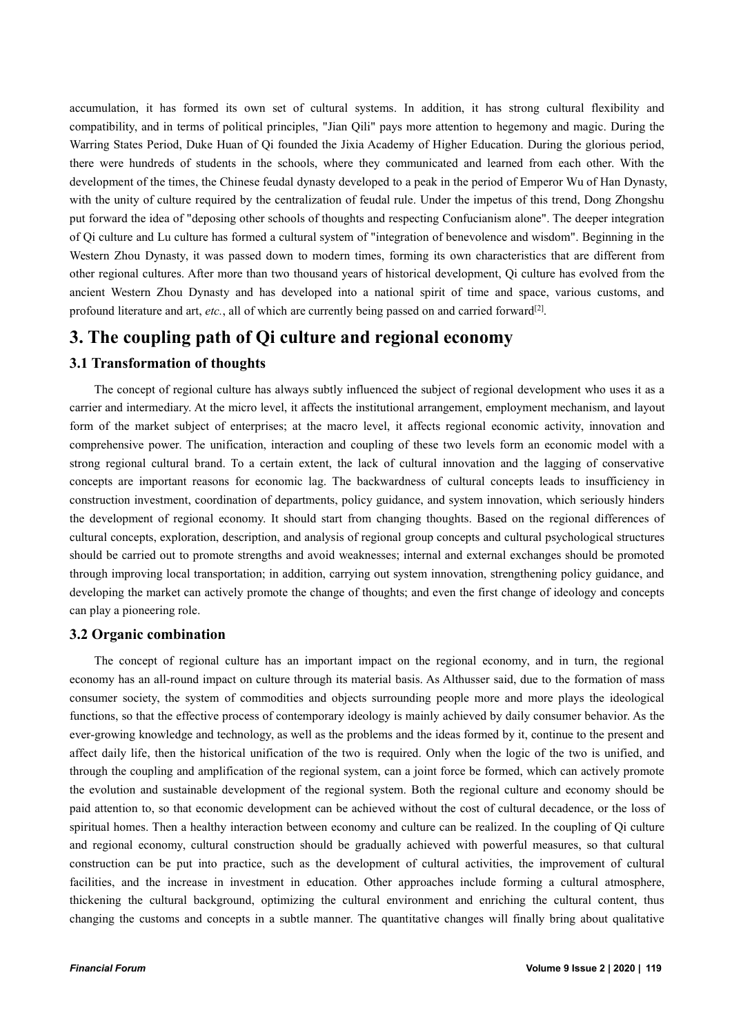accumulation, it has formed its own set of cultural systems. In addition, it has strong cultural flexibility and compatibility, and in terms of political principles, "Jian Qili" pays more attention to hegemony and magic. During the Warring States Period, Duke Huan of Qi founded the Jixia Academy of Higher Education. During the glorious period, there were hundreds of students in the schools, where they communicated and learned from each other. With the development of the times, the Chinese feudal dynasty developed to a peak in the period of Emperor Wu of Han Dynasty, with the unity of culture required by the centralization of feudal rule. Under the impetus of this trend, Dong Zhongshu put forward the idea of "deposing other schools of thoughts and respecting Confucianism alone". The deeper integration of Qi culture and Lu culture has formed a cultural system of "integration of benevolence and wisdom". Beginning in the Western Zhou Dynasty, it was passed down to modern times, forming its own characteristics that are different from other regional cultures. After more than two thousand years of historical development, Qi culture has evolved from the ancient Western Zhou Dynasty and has developed into a national spirit of time and space, various customs, and profound literature and art, *etc.*, all of which are currently being passed on and carried forward [2].

# **3. The coupling path of Qi culture and regional economy**

### **3.1 Transformation of thoughts**

The concept of regional culture has always subtly influenced the subject of regional development who uses it as a carrier and intermediary. At the micro level, it affects the institutional arrangement, employment mechanism, and layout form of the market subject of enterprises; at the macro level, it affects regional economic activity, innovation and comprehensive power. The unification, interaction and coupling of these two levels form an economic model with a strong regional cultural brand. To a certain extent, the lack of cultural innovation and the lagging of conservative concepts are important reasons for economic lag. The backwardness of cultural concepts leads to insufficiency in construction investment, coordination of departments, policy guidance, and system innovation, which seriously hinders the development of regional economy. It should start from changing thoughts. Based on the regional differences of cultural concepts, exploration, description, and analysis ofregional group concepts and cultural psychological structures should be carried out to promote strengths and avoid weaknesses; internal and external exchanges should be promoted through improving local transportation; in addition, carrying out system innovation, strengthening policy guidance, and developing the market can actively promote the change of thoughts; and even the first change of ideology and concepts can play a pioneering role.

#### **3.2 Organic combination**

The concept of regional culture has an important impact on the regional economy, and in turn, the regional economy has an all-round impact on culture through its material basis. As Althusser said, due to the formation of mass consumer society, the system of commodities and objects surrounding people more and more plays the ideological functions, so that the effective process of contemporary ideology is mainly achieved by daily consumer behavior. As the ever-growing knowledge and technology, as well as the problems and the ideas formed by it, continue to the present and affect daily life, then the historical unification of the two is required. Only when the logic of the two is unified, and through the coupling and amplification of the regional system, can a joint force be formed, which can actively promote the evolution and sustainable development of the regional system. Both the regional culture and economy should be paid attention to, so that economic development can be achieved without the cost of cultural decadence, or the loss of spiritual homes. Then a healthy interaction between economy and culture can be realized. In the coupling of Qi culture and regional economy, cultural construction should be gradually achieved with powerful measures, so that cultural construction can be put into practice, such as the development of cultural activities, the improvement of cultural facilities, and the increase in investment in education. Other approaches include forming a cultural atmosphere, thickening the cultural background, optimizing the cultural environment and enriching the cultural content, thus changing the customs and concepts in a subtle manner.The quantitative changes will finally bring about qualitative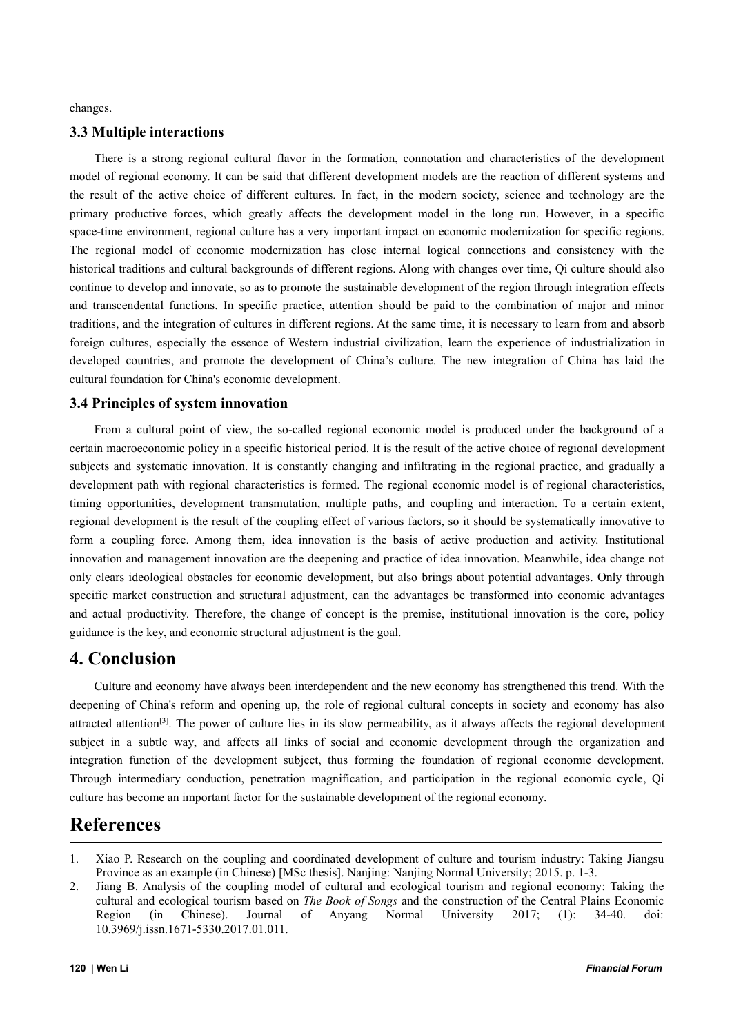changes.

#### **3.3 Multiple interactions**

There is a strong regional cultural flavor in the formation, connotation and characteristics of the development model of regional economy. It can be said that different development models are the reaction of different systems and the result of the active choice of different cultures. In fact, in the modern society, science and technology are the primary productive forces, which greatly affects the development model in the long run. However, in a specific space-time environment, regional culture has a very important impact on economic modernization for specific regions. The regional model of economic modernization has close internal logical connections and consistency with the historical traditions and cultural backgrounds of different regions. Along with changes over time, Oi culture should also continue to develop and innovate, so as to promote the sustainable development of the region through integration effects and transcendental functions. In specific practice, attention should be paid to the combination of major and minor traditions, and the integration of cultures in different regions. At the same time, it is necessary to learn from and absorb foreign cultures, especially the essence of Western industrial civilization, learn the experience of industrialization in developed countries, and promote the development of China's culture. The new integration of China has laid the cultural foundation for China's economic development.

#### **3.4 Principles of system innovation**

From a cultural point of view, the so-called regional economic model is produced under the background of a certain macroeconomic policy in a specific historical period. It is the result of the active choice of regional development subjects and systematic innovation. It is constantly changing and infiltrating in the regional practice, and gradually a development path with regional characteristics is formed. The regional economic model is of regional characteristics, timing opportunities, development transmutation, multiple paths, and coupling and interaction. To a certain extent, regional development is the result of the coupling effect of various factors, so it should be systematically innovative to form a coupling force. Among them, idea innovation is the basis of active production and activity. Institutional innovation and management innovation are the deepening and practice of idea innovation. Meanwhile, idea change not only clears ideological obstacles for economic development, but also brings about potential advantages. Only through specific market construction and structural adjustment, can the advantages be transformed into economic advantages and actual productivity. Therefore, the change of concept is the premise, institutional innovation is the core, policy guidance is the key, and economic structural adjustment is the goal.

### **4. Conclusion**

Culture and economy have always been interdependent and the new economy has strengthened this trend.With the deepening of China's reform and opening up, the role of regional cultural concepts in society and economy has also attracted attention<sup>[3]</sup>. The power of culture lies in its slow permeability, as it always affects the regional development subject in a subtle way, and affects all links of social and economic development through the organization and integration function of the development subject, thus forming the foundation of regional economic development. Through intermediary conduction, penetration magnification, and participation in the regional economic cycle, Qi culture has become an important factor for the sustainable development of the regional economy.

## **References**

<sup>1.</sup> Xiao P. Research on the coupling and coordinated development of culture and tourism industry: Taking Jiangsu Province as an example (in Chinese) [MSc thesis]. Nanjing: Nanjing Normal University; 2015. p. 1-3.

<sup>2.</sup> Jiang B. Analysis of the coupling model of cultural and ecological tourism and regional economy: Taking the cultural and ecological tourism based on *The Book of Songs* and the construction of the Central Plains Economic Region (in Chinese). Journal of Anyang Normal University 2017; (1): 34-40. doi: 10.3969/j.issn.1671-5330.2017.01.011.